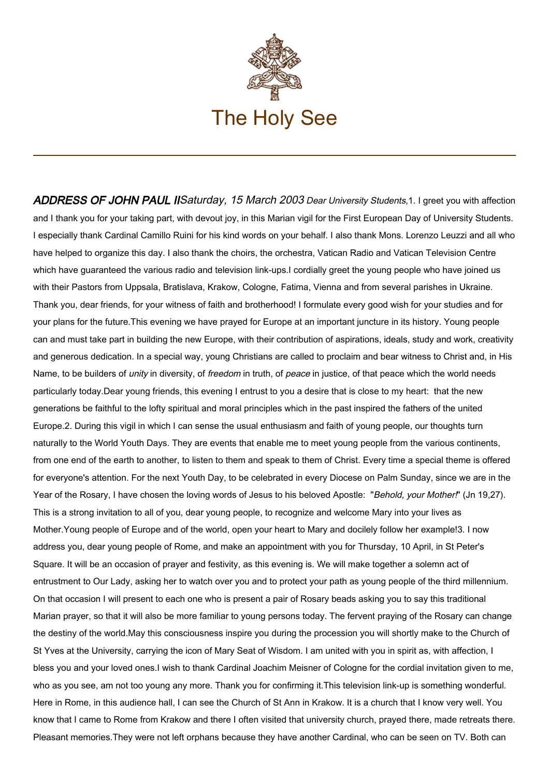

ADDRESS OF JOHN PAUL IISaturday, 15 March 2003 Dear University Students, 1. I greet you with affection and I thank you for your taking part, with devout joy, in this Marian vigil for the First European Day of University Students. I especially thank Cardinal Camillo Ruini for his kind words on your behalf. I also thank Mons. Lorenzo Leuzzi and all who have helped to organize this day. I also thank the choirs, the orchestra, Vatican Radio and Vatican Television Centre which have guaranteed the various radio and television link-ups.I cordially greet the young people who have joined us with their Pastors from Uppsala, Bratislava, Krakow, Cologne, Fatima, Vienna and from several parishes in Ukraine. Thank you, dear friends, for your witness of faith and brotherhood! I formulate every good wish for your studies and for your plans for the future.This evening we have prayed for Europe at an important juncture in its history. Young people can and must take part in building the new Europe, with their contribution of aspirations, ideals, study and work, creativity and generous dedication. In a special way, young Christians are called to proclaim and bear witness to Christ and, in His Name, to be builders of *unity* in diversity, of freedom in truth, of peace in justice, of that peace which the world needs particularly today.Dear young friends, this evening I entrust to you a desire that is close to my heart: that the new generations be faithful to the lofty spiritual and moral principles which in the past inspired the fathers of the united Europe.2. During this vigil in which I can sense the usual enthusiasm and faith of young people, our thoughts turn naturally to the World Youth Days. They are events that enable me to meet young people from the various continents, from one end of the earth to another, to listen to them and speak to them of Christ. Every time a special theme is offered for everyone's attention. For the next Youth Day, to be celebrated in every Diocese on Palm Sunday, since we are in the Year of the Rosary, I have chosen the loving words of Jesus to his beloved Apostle: "Behold, your Mother!" (Jn 19,27). This is a strong invitation to all of you, dear young people, to recognize and welcome Mary into your lives as Mother.Young people of Europe and of the world, open your heart to Mary and docilely follow her example!3. I now address you, dear young people of Rome, and make an appointment with you for Thursday, 10 April, in St Peter's Square. It will be an occasion of prayer and festivity, as this evening is. We will make together a solemn act of entrustment to Our Lady, asking her to watch over you and to protect your path as young people of the third millennium. On that occasion I will present to each one who is present a pair of Rosary beads asking you to say this traditional Marian prayer, so that it will also be more familiar to young persons today. The fervent praying of the Rosary can change the destiny of the world.May this consciousness inspire you during the procession you will shortly make to the Church of St Yves at the University, carrying the icon of Mary Seat of Wisdom. I am united with you in spirit as, with affection, I bless you and your loved ones.I wish to thank Cardinal Joachim Meisner of Cologne for the cordial invitation given to me, who as you see, am not too young any more. Thank you for confirming it.This television link-up is something wonderful. Here in Rome, in this audience hall, I can see the Church of St Ann in Krakow. It is a church that I know very well. You know that I came to Rome from Krakow and there I often visited that university church, prayed there, made retreats there. Pleasant memories.They were not left orphans because they have another Cardinal, who can be seen on TV. Both can